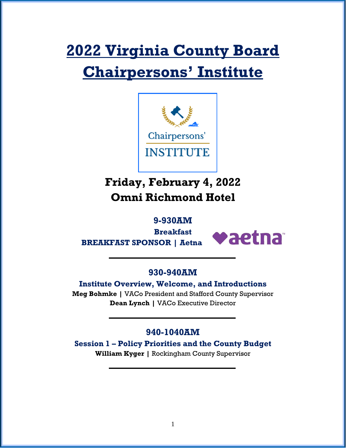# **2022 Virginia County Board Chairpersons' Institute**



# **Friday, February 4, 2022 Omni Richmond Hotel**

# **9-930AM**

**Breakfast BREAKFAST SPONSOR | Aetna**



## **930-940AM**

**Institute Overview, Welcome, and Introductions**

**Meg Bohmke |** VACo President and Stafford County Supervisor **Dean Lynch |** VACo Executive Director

# **940-1040AM**

**Session 1 – Policy Priorities and the County Budget William Kyger |** Rockingham County Supervisor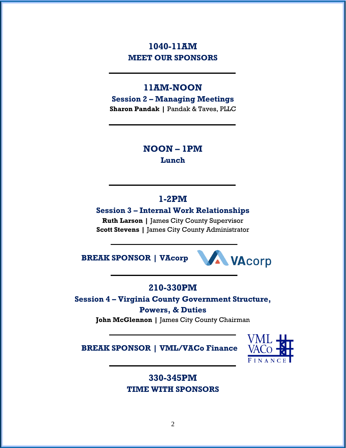# **1040-11AM MEET OUR SPONSORS**

# **11AM-NOON**

**Session 2 – Managing Meetings Sharon Pandak |** Pandak & Taves, PLLC

# **NOON – 1PM**

**Lunch**

## **1-2PM**

**Session 3 – Internal Work Relationships**

**Ruth Larson |** James City County Supervisor **Scott Stevens |** James City County Administrator

**BREAK SPONSOR | VAcorp**



# **210-330PM**

**Session 4 – Virginia County Government Structure,** 

#### **Powers, & Duties**

**John McGlennon |** James City County Chairman

**BREAK SPONSOR | VML/VACo Finance**



# **330-345PM TIME WITH SPONSORS**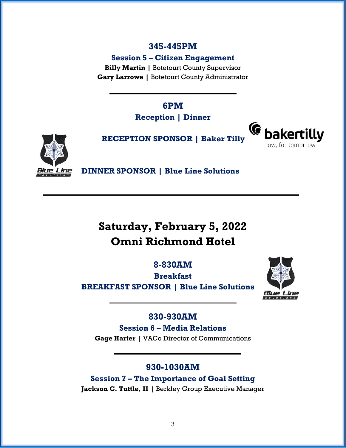#### **345-445PM**

**Session 5 – Citizen Engagement**

**Billy Martin |** Botetourt County Supervisor **Gary Larrowe |** Botetourt County Administrator

> **6PM Reception | Dinner**





**RECEPTION SPONSOR | Baker Tilly**

**DINNER SPONSOR | Blue Line Solutions**

# **Saturday, February 5, 2022 Omni Richmond Hotel**

**8-830AM**

**Breakfast BREAKFAST SPONSOR | Blue Line Solutions**



## **830-930AM**

**Session 6 – Media Relations Gage Harter |** VACo Director of Communications

# **930-1030AM**

**Session 7 – The Importance of Goal Setting Jackson C. Tuttle, II |** Berkley Group Executive Manager